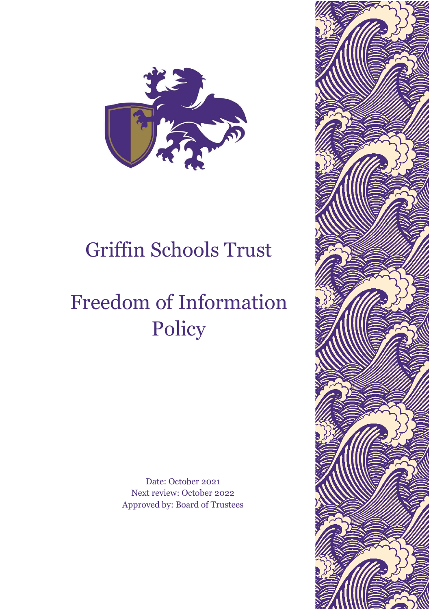

# Griffin Schools Trust

# Freedom of Information Policy

Date: October 2021 Next review: October 2022 Approved by: Board of Trustees

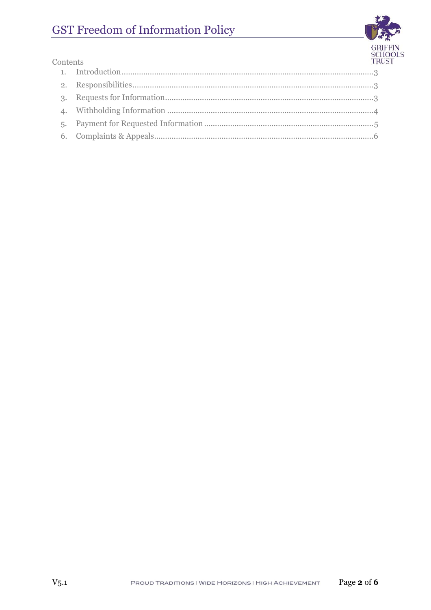# GST Freedom of Information Policy



| Contents        |  | $\frac{5}{T}$ |
|-----------------|--|---------------|
|                 |  |               |
|                 |  |               |
| $\mathcal{R}$ . |  |               |
|                 |  |               |
|                 |  |               |
|                 |  |               |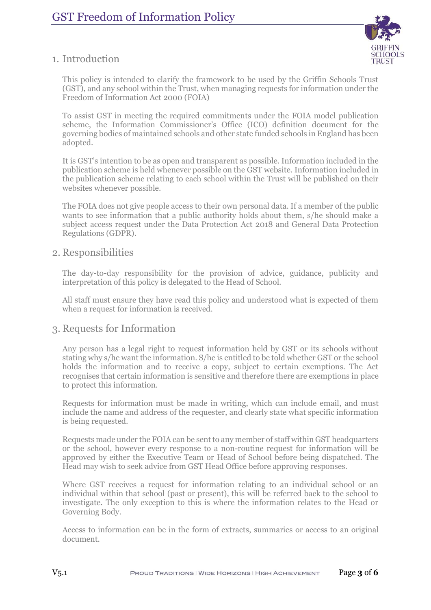

#### <span id="page-2-0"></span>1. Introduction

This policy is intended to clarify the framework to be used by the Griffin Schools Trust (GST), and any school within the Trust, when managing requests for information under the Freedom of Information Act 2000 (FOIA)

To assist GST in meeting the required commitments under the FOIA model publication scheme, the Information Commissioner's Office (ICO) definition document for the governing bodies of maintained schools and other state funded schools in England has been adopted.

It is GST's intention to be as open and transparent as possible. Information included in the publication scheme is held whenever possible on the GST website. Information included in the publication scheme relating to each school within the Trust will be published on their websites whenever possible.

The FOIA does not give people access to their own personal data. If a member of the public wants to see information that a public authority holds about them, s/he should make a subject access request under the Data Protection Act 2018 and General Data Protection Regulations (GDPR).

#### <span id="page-2-1"></span>2. Responsibilities

The day-to-day responsibility for the provision of advice, guidance, publicity and interpretation of this policy is delegated to the Head of School.

All staff must ensure they have read this policy and understood what is expected of them when a request for information is received.

#### <span id="page-2-2"></span>3. Requests for Information

Any person has a legal right to request information held by GST or its schools without stating why s/he want the information. S/he is entitled to be told whether GST or the school holds the information and to receive a copy, subject to certain exemptions. The Act recognises that certain information is sensitive and therefore there are exemptions in place to protect this information.

Requests for information must be made in writing, which can include email, and must include the name and address of the requester, and clearly state what specific information is being requested.

Requests made under the FOIA can be sent to any member of staff within GST headquarters or the school, however every response to a non-routine request for information will be approved by either the Executive Team or Head of School before being dispatched. The Head may wish to seek advice from GST Head Office before approving responses.

Where GST receives a request for information relating to an individual school or an individual within that school (past or present), this will be referred back to the school to investigate. The only exception to this is where the information relates to the Head or Governing Body.

Access to information can be in the form of extracts, summaries or access to an original document.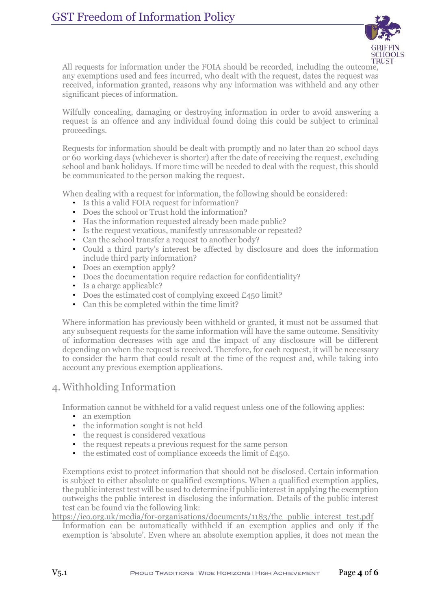

All requests for information under the FOIA should be recorded, including the outcome, any exemptions used and fees incurred, who dealt with the request, dates the request was received, information granted, reasons why any information was withheld and any other significant pieces of information.

Wilfully concealing, damaging or destroying information in order to avoid answering a request is an offence and any individual found doing this could be subject to criminal proceedings.

Requests for information should be dealt with promptly and no later than 20 school days or 60 working days (whichever is shorter) after the date of receiving the request, excluding school and bank holidays. If more time will be needed to deal with the request, this should be communicated to the person making the request.

When dealing with a request for information, the following should be considered:

- Is this a valid FOIA request for information?
- Does the school or Trust hold the information?
- Has the information requested already been made public?
- Is the request vexatious, manifestly unreasonable or repeated?
- Can the school transfer a request to another body?
- Could a third party's interest be affected by disclosure and does the information include third party information?
- Does an exemption apply?
- Does the documentation require redaction for confidentiality?
- Is a charge applicable?
- Does the estimated cost of complying exceed £450 limit?
- Can this be completed within the time limit?

Where information has previously been withheld or granted, it must not be assumed that any subsequent requests for the same information will have the same outcome. Sensitivity of information decreases with age and the impact of any disclosure will be different depending on when the request is received. Therefore, for each request, it will be necessary to consider the harm that could result at the time of the request and, while taking into account any previous exemption applications.

### <span id="page-3-0"></span>4. Withholding Information

Information cannot be withheld for a valid request unless one of the following applies:

- an exemption
- the information sought is not held
- the request is considered vexatious
- the request repeats a previous request for the same person
- the estimated cost of compliance exceeds the limit of  $£450$ .

Exemptions exist to protect information that should not be disclosed. Certain information is subject to either absolute or qualified exemptions. When a qualified exemption applies, the public interest test will be used to determine if public interest in applying the exemption outweighs the public interest in disclosing the information. Details of the public interest test can be found via the following link:

#### [https://ico.org.uk/media/for-organisations/documents/1183/the\\_public\\_interest\\_test.pdf](https://ico.org.uk/media/for-organisations/documents/1183/the_public_interest_test.pdf)

Information can be automatically withheld if an exemption applies and only if the exemption is 'absolute'. Even where an absolute exemption applies, it does not mean the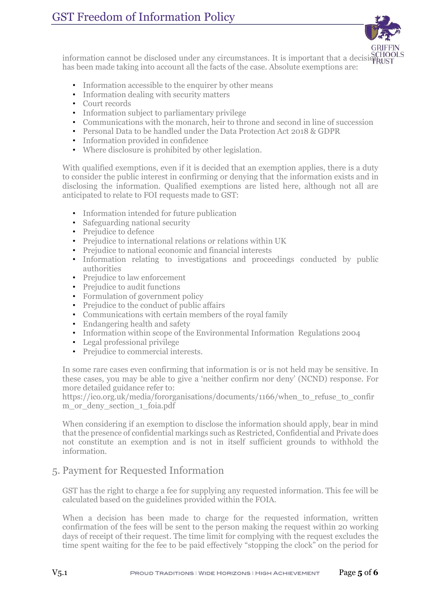## GST Freedom of Information Policy



information cannot be disclosed under any circumstances. It is important that a decision  $\frac{SCHOOLS}{RUST}$ has been made taking into account all the facts of the case. Absolute exemptions are:

- Information accessible to the enquirer by other means
- Information dealing with security matters
- Court records
- Information subject to parliamentary privilege
- Communications with the monarch, heir to throne and second in line of succession
- Personal Data to be handled under the Data Protection Act 2018 & GDPR
- Information provided in confidence
- Where disclosure is prohibited by other legislation.

With qualified exemptions, even if it is decided that an exemption applies, there is a duty to consider the public interest in confirming or denying that the information exists and in disclosing the information. Qualified exemptions are listed here, although not all are anticipated to relate to FOI requests made to GST:

- Information intended for future publication
- Safeguarding national security
- Prejudice to defence
- Prejudice to international relations or relations within UK
- Prejudice to national economic and financial interests
- Information relating to investigations and proceedings conducted by public authorities
- Prejudice to law enforcement
- Prejudice to audit functions
- Formulation of government policy
- Prejudice to the conduct of public affairs
- Communications with certain members of the royal family
- Endangering health and safety
- Information within scope of the Environmental Information Regulations 2004
- Legal professional privilege
- Prejudice to commercial interests.

In some rare cases even confirming that information is or is not held may be sensitive. In these cases, you may be able to give a 'neither confirm nor deny' (NCND) response. For more detailed guidance refer to:

[https://ico.org.uk/media/fororganisations/documents/1166/when\\_to\\_refuse\\_to\\_confir](https://ico.org.uk/media/fororganisations/documents/1166/when_to_refuse_to_confirm_or_deny_section_1_foia.pdf) [m\\_or\\_deny\\_section\\_1\\_foia.pdf](https://ico.org.uk/media/fororganisations/documents/1166/when_to_refuse_to_confirm_or_deny_section_1_foia.pdf)

When considering if an exemption to disclose the information should apply, bear in mind that the presence of confidential markings such as Restricted, Confidential and Private does not constitute an exemption and is not in itself sufficient grounds to withhold the information.

### <span id="page-4-0"></span>5. Payment for Requested Information

GST has the right to charge a fee for supplying any requested information. This fee will be calculated based on the guidelines provided within the FOIA.

When a decision has been made to charge for the requested information, written confirmation of the fees will be sent to the person making the request within 20 working days of receipt of their request. The time limit for complying with the request excludes the time spent waiting for the fee to be paid effectively "stopping the clock" on the period for